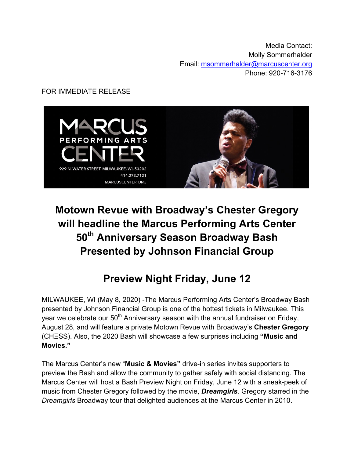Media Contact: Molly Sommerhalder Email: msommerhalder@marcuscenter.org Phone: 920-716-3176

### FOR IMMEDIATE RELEASE



# **Motown Revue with Broadway's Chester Gregory will headline the Marcus Performing Arts Center 50th Anniversary Season Broadway Bash Presented by Johnson Financial Group**

## **Preview Night Friday, June 12**

MILWAUKEE, WI (May 8, 2020) -The Marcus Performing Arts Center's Broadway Bash presented by Johnson Financial Group is one of the hottest tickets in Milwaukee. This year we celebrate our  $50<sup>th</sup>$  Anniversary season with the annual fundraiser on Friday, August 28, and will feature a private Motown Revue with Broadway's **Chester Gregory**  (CHΞSS). Also, the 2020 Bash will showcase a few surprises including **"Music and Movies."**

The Marcus Center's new "**Music & Movies"** drive-in series invites supporters to preview the Bash and allow the community to gather safely with social distancing. The Marcus Center will host a Bash Preview Night on Friday, June 12 with a sneak-peek of music from Chester Gregory followed by the movie, *Dreamgirls.* Gregory starred in the *Dreamgirls* Broadway tour that delighted audiences at the Marcus Center in 2010.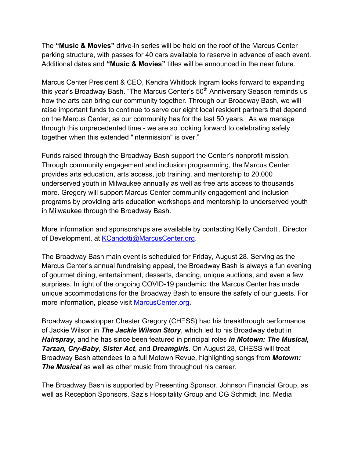The **"Music & Movies"** drive-in series will be held on the roof of the Marcus Center parking structure, with passes for 40 cars available to reserve in advance of each event. Additional dates and **"Music & Movies"** titles will be announced in the near future.

Marcus Center President & CEO, Kendra Whitlock Ingram looks forward to expanding this year's Broadway Bash. "The Marcus Center's 50<sup>th</sup> Anniversary Season reminds us how the arts can bring our community together. Through our Broadway Bash, we will raise important funds to continue to serve our eight local resident partners that depend on the Marcus Center, as our community has for the last 50 years. As we manage through this unprecedented time - we are so looking forward to celebrating safely together when this extended "intermission" is over."

Funds raised through the Broadway Bash support the Center's nonprofit mission. Through community engagement and inclusion programming, the Marcus Center provides arts education, arts access, job training, and mentorship to 20,000 underserved youth in Milwaukee annually as well as free arts access to thousands more. Gregory will support Marcus Center community engagement and inclusion programs by providing arts education workshops and mentorship to underserved youth in Milwaukee through the Broadway Bash.

More information and sponsorships are available by contacting Kelly Candotti, Director of Development, at KCandotti@MarcusCenter.org.

The Broadway Bash main event is scheduled for Friday, August 28. Serving as the Marcus Center's annual fundraising appeal, the Broadway Bash is always a fun evening of gourmet dining, entertainment, desserts, dancing, unique auctions, and even a few surprises. In light of the ongoing COVID-19 pandemic, the Marcus Center has made unique accommodations for the Broadway Bash to ensure the safety of our guests. For more information, please visit MarcusCenter.org.

Broadway showstopper Chester Gregory (CHΞSS) had his breakthrough performance of Jackie Wilson in *The Jackie Wilson Story*, which led to his Broadway debut in *Hairspray*, and he has since been featured in principal roles *in Motown: The Musical, Tarzan, Cry-Baby*, *Sister Act*, and *Dreamgirls*. On August 28, CHΞSS will treat Broadway Bash attendees to a full Motown Revue, highlighting songs from *Motown:*  **The Musical** as well as other music from throughout his career.

The Broadway Bash is supported by Presenting Sponsor, Johnson Financial Group, as well as Reception Sponsors, Saz's Hospitality Group and CG Schmidt, Inc. Media